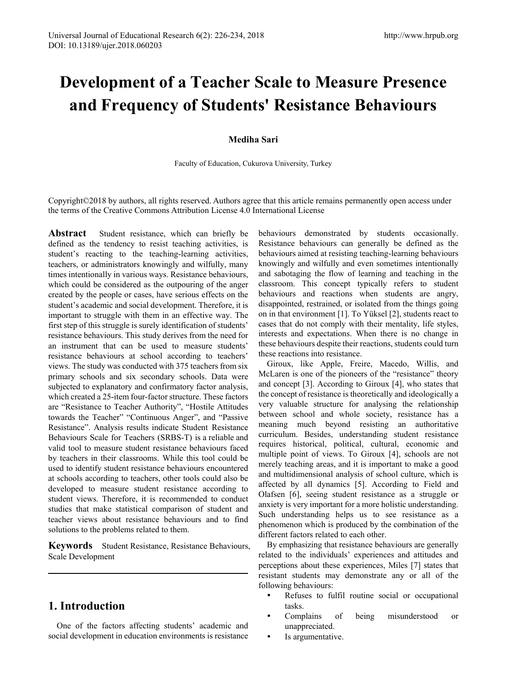# **Development of a Teacher Scale to Measure Presence and Frequency of Students' Resistance Behaviours**

### **Mediha Sari**

Faculty of Education, Cukurova University, Turkey

Copyright©2018 by authors, all rights reserved. Authors agree that this article remains permanently open access under the terms of the Creative Commons Attribution License 4.0 International License

Abstract Student resistance, which can briefly be defined as the tendency to resist teaching activities, is student's reacting to the teaching-learning activities, teachers, or administrators knowingly and wilfully, many times intentionally in various ways. Resistance behaviours, which could be considered as the outpouring of the anger created by the people or cases, have serious effects on the student's academic and social development. Therefore, it is important to struggle with them in an effective way. The first step of this struggle is surely identification of students' resistance behaviours. This study derives from the need for an instrument that can be used to measure students' resistance behaviours at school according to teachers' views. The study was conducted with 375 teachers from six primary schools and six secondary schools. Data were subjected to explanatory and confirmatory factor analysis, which created a 25-item four-factor structure. These factors are "Resistance to Teacher Authority", "Hostile Attitudes towards the Teacher" "Continuous Anger", and "Passive Resistance". Analysis results indicate Student Resistance Behaviours Scale for Teachers (SRBS-T) is a reliable and valid tool to measure student resistance behaviours faced by teachers in their classrooms. While this tool could be used to identify student resistance behaviours encountered at schools according to teachers, other tools could also be developed to measure student resistance according to student views. Therefore, it is recommended to conduct studies that make statistical comparison of student and teacher views about resistance behaviours and to find solutions to the problems related to them.

**Keywords** Student Resistance, Resistance Behaviours, Scale Development

# **1. Introduction**

One of the factors affecting students' academic and social development in education environments is resistance behaviours demonstrated by students occasionally. Resistance behaviours can generally be defined as the behaviours aimed at resisting teaching-learning behaviours knowingly and wilfully and even sometimes intentionally and sabotaging the flow of learning and teaching in the classroom. This concept typically refers to student behaviours and reactions when students are angry, disappointed, restrained, or isolated from the things going on in that environment [1]. To Yüksel [2], students react to cases that do not comply with their mentality, life styles, interests and expectations. When there is no change in these behaviours despite their reactions, students could turn these reactions into resistance.

Giroux, like Apple, Freire, Macedo, Willis, and McLaren is one of the pioneers of the "resistance" theory and concept [3]. According to Giroux [4], who states that the concept of resistance is theoretically and ideologically a very valuable structure for analysing the relationship between school and whole society, resistance has a meaning much beyond resisting an authoritative curriculum. Besides, understanding student resistance requires historical, political, cultural, economic and multiple point of views. To Giroux [4], schools are not merely teaching areas, and it is important to make a good and multidimensional analysis of school culture, which is affected by all dynamics [5]. According to Field and Olafsen [6], seeing student resistance as a struggle or anxiety is very important for a more holistic understanding. Such understanding helps us to see resistance as a phenomenon which is produced by the combination of the different factors related to each other.

By emphasizing that resistance behaviours are generally related to the individuals' experiences and attitudes and perceptions about these experiences, Miles [7] states that resistant students may demonstrate any or all of the following behaviours:

- Refuses to fulfil routine social or occupational tasks.
- Complains of being misunderstood or unappreciated.
- Is argumentative.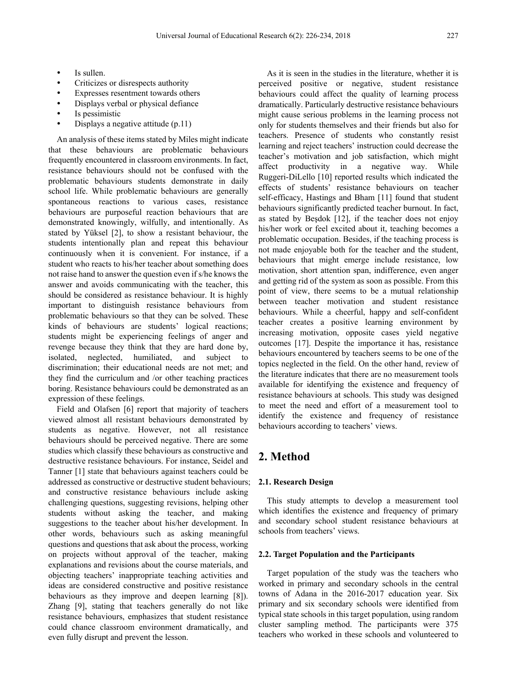- Is sullen.
- Criticizes or disrespects authority
- Expresses resentment towards others
- Displays verbal or physical defiance
- Is pessimistic
- Displays a negative attitude (p.11)

An analysis of these items stated by Miles might indicate that these behaviours are problematic behaviours frequently encountered in classroom environments. In fact, resistance behaviours should not be confused with the problematic behaviours students demonstrate in daily school life. While problematic behaviours are generally spontaneous reactions to various cases, resistance behaviours are purposeful reaction behaviours that are demonstrated knowingly, wilfully, and intentionally. As stated by Yüksel [2], to show a resistant behaviour, the students intentionally plan and repeat this behaviour continuously when it is convenient. For instance, if a student who reacts to his/her teacher about something does not raise hand to answer the question even if s/he knows the answer and avoids communicating with the teacher, this should be considered as resistance behaviour. It is highly important to distinguish resistance behaviours from problematic behaviours so that they can be solved. These kinds of behaviours are students' logical reactions; students might be experiencing feelings of anger and revenge because they think that they are hard done by, isolated, neglected, humiliated, and subject discrimination; their educational needs are not met; and they find the curriculum and /or other teaching practices boring. Resistance behaviours could be demonstrated as an expression of these feelings.

Field and Olafsen [6] report that majority of teachers viewed almost all resistant behaviours demonstrated by students as negative. However, not all resistance behaviours should be perceived negative. There are some studies which classify these behaviours as constructive and destructive resistance behaviours. For instance, Seidel and Tanner [1] state that behaviours against teachers could be addressed as constructive or destructive student behaviours; and constructive resistance behaviours include asking challenging questions, suggesting revisions, helping other students without asking the teacher, and making suggestions to the teacher about his/her development. In other words, behaviours such as asking meaningful questions and questions that ask about the process, working on projects without approval of the teacher, making explanations and revisions about the course materials, and objecting teachers' inappropriate teaching activities and ideas are considered constructive and positive resistance behaviours as they improve and deepen learning [8]). Zhang [9], stating that teachers generally do not like resistance behaviours, emphasizes that student resistance could chance classroom environment dramatically, and even fully disrupt and prevent the lesson.

As it is seen in the studies in the literature, whether it is perceived positive or negative, student resistance behaviours could affect the quality of learning process dramatically. Particularly destructive resistance behaviours might cause serious problems in the learning process not only for students themselves and their friends but also for teachers. Presence of students who constantly resist learning and reject teachers' instruction could decrease the teacher's motivation and job satisfaction, which might affect productivity in a negative way. While Ruggeri-DiLello [10] reported results which indicated the effects of students' resistance behaviours on teacher self-efficacy, Hastings and Bham [11] found that student behaviours significantly predicted teacher burnout. In fact, as stated by Beşdok [12], if the teacher does not enjoy his/her work or feel excited about it, teaching becomes a problematic occupation. Besides, if the teaching process is not made enjoyable both for the teacher and the student, behaviours that might emerge include resistance, low motivation, short attention span, indifference, even anger and getting rid of the system as soon as possible. From this point of view, there seems to be a mutual relationship between teacher motivation and student resistance behaviours. While a cheerful, happy and self-confident teacher creates a positive learning environment by increasing motivation, opposite cases yield negative outcomes [17]. Despite the importance it has, resistance behaviours encountered by teachers seems to be one of the topics neglected in the field. On the other hand, review of the literature indicates that there are no measurement tools available for identifying the existence and frequency of resistance behaviours at schools. This study was designed to meet the need and effort of a measurement tool to identify the existence and frequency of resistance behaviours according to teachers' views.

## **2. Method**

#### **2.1. Research Design**

This study attempts to develop a measurement tool which identifies the existence and frequency of primary and secondary school student resistance behaviours at schools from teachers' views.

#### **2.2. Target Population and the Participants**

Target population of the study was the teachers who worked in primary and secondary schools in the central towns of Adana in the 2016-2017 education year. Six primary and six secondary schools were identified from typical state schools in this target population, using random cluster sampling method. The participants were 375 teachers who worked in these schools and volunteered to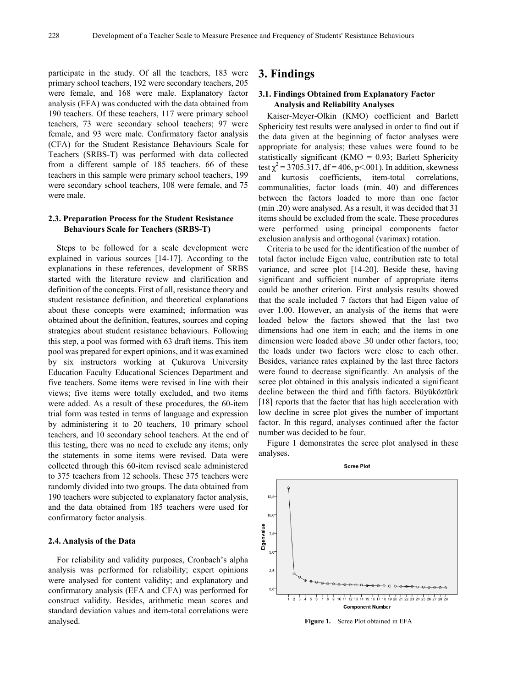participate in the study. Of all the teachers, 183 were primary school teachers, 192 were secondary teachers, 205 were female, and 168 were male. Explanatory factor analysis (EFA) was conducted with the data obtained from 190 teachers. Of these teachers, 117 were primary school teachers, 73 were secondary school teachers; 97 were female, and 93 were male. Confirmatory factor analysis (CFA) for the Student Resistance Behaviours Scale for Teachers (SRBS-T) was performed with data collected from a different sample of 185 teachers. 66 of these teachers in this sample were primary school teachers, 199 were secondary school teachers, 108 were female, and 75 were male.

#### **2.3. Preparation Process for the Student Resistance Behaviours Scale for Teachers (SRBS-T)**

Steps to be followed for a scale development were explained in various sources [14-17]. According to the explanations in these references, development of SRBS started with the literature review and clarification and definition of the concepts. First of all, resistance theory and student resistance definition, and theoretical explanations about these concepts were examined; information was obtained about the definition, features, sources and coping strategies about student resistance behaviours. Following this step, a pool was formed with 63 draft items. This item pool was prepared for expert opinions, and it was examined by six instructors working at Çukurova University Education Faculty Educational Sciences Department and five teachers. Some items were revised in line with their views; five items were totally excluded, and two items were added. As a result of these procedures, the 60-item trial form was tested in terms of language and expression by administering it to 20 teachers, 10 primary school teachers, and 10 secondary school teachers. At the end of this testing, there was no need to exclude any items; only the statements in some items were revised. Data were collected through this 60-item revised scale administered to 375 teachers from 12 schools. These 375 teachers were randomly divided into two groups. The data obtained from 190 teachers were subjected to explanatory factor analysis, and the data obtained from 185 teachers were used for confirmatory factor analysis.

#### **2.4. Analysis of the Data**

For reliability and validity purposes, Cronbach's alpha analysis was performed for reliability; expert opinions were analysed for content validity; and explanatory and confirmatory analysis (EFA and CFA) was performed for construct validity. Besides, arithmetic mean scores and standard deviation values and item-total correlations were analysed.

## **3. Findings**

#### **3.1. Findings Obtained from Explanatory Factor Analysis and Reliability Analyses**

Kaiser-Meyer-Olkin (KMO) coefficient and Barlett Sphericity test results were analysed in order to find out if the data given at the beginning of factor analyses were appropriate for analysis; these values were found to be statistically significant (KMO =  $0.93$ ; Barlett Sphericity test  $\chi^2$  = 3705.317, df = 406, p < 0.01). In addition, skewness and kurtosis coefficients, item-total correlations, communalities, factor loads (min. 40) and differences between the factors loaded to more than one factor (min .20) were analysed. As a result, it was decided that 31 items should be excluded from the scale. These procedures were performed using principal components factor exclusion analysis and orthogonal (varimax) rotation.

Criteria to be used for the identification of the number of total factor include Eigen value, contribution rate to total variance, and scree plot [14-20]. Beside these, having significant and sufficient number of appropriate items could be another criterion. First analysis results showed that the scale included 7 factors that had Eigen value of over 1.00. However, an analysis of the items that were loaded below the factors showed that the last two dimensions had one item in each; and the items in one dimension were loaded above .30 under other factors, too; the loads under two factors were close to each other. Besides, variance rates explained by the last three factors were found to decrease significantly. An analysis of the scree plot obtained in this analysis indicated a significant decline between the third and fifth factors. Büyüköztürk [18] reports that the factor that has high acceleration with low decline in scree plot gives the number of important factor. In this regard, analyses continued after the factor number was decided to be four.

Figure 1 demonstrates the scree plot analysed in these analyses.



**Figure 1.** Scree Plot obtained in EFA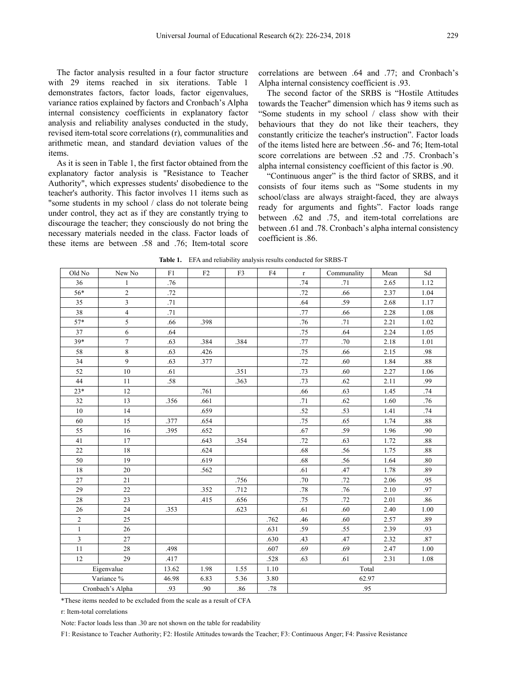The factor analysis resulted in a four factor structure with 29 items reached in six iterations. Table 1 demonstrates factors, factor loads, factor eigenvalues, variance ratios explained by factors and Cronbach's Alpha internal consistency coefficients in explanatory factor analysis and reliability analyses conducted in the study, revised item-total score correlations (r), communalities and arithmetic mean, and standard deviation values of the items.

As it is seen in Table 1, the first factor obtained from the explanatory factor analysis is "Resistance to Teacher Authority", which expresses students' disobedience to the teacher's authority. This factor involves 11 items such as "some students in my school / class do not tolerate being under control, they act as if they are constantly trying to discourage the teacher; they consciously do not bring the necessary materials needed in the class. Factor loads of these items are between .58 and .76; Item-total score

correlations are between .64 and .77; and Cronbach's Alpha internal consistency coefficient is .93.

The second factor of the SRBS is "Hostile Attitudes towards the Teacher" dimension which has 9 items such as "Some students in my school / class show with their behaviours that they do not like their teachers, they constantly criticize the teacher's instruction". Factor loads of the items listed here are between .56- and 76; Item-total score correlations are between .52 and .75. Cronbach's alpha internal consistency coefficient of this factor is .90.

"Continuous anger" is the third factor of SRBS, and it consists of four items such as "Some students in my school/class are always straight-faced, they are always ready for arguments and fights". Factor loads range between .62 and .75, and item-total correlations are between .61 and .78. Cronbach's alpha internal consistency coefficient is .86.

| Old No           | New No         | F1    | F <sub>2</sub> | F3   | F4   | $\mathbf r$ | Communality | Mean | Sd      |  |
|------------------|----------------|-------|----------------|------|------|-------------|-------------|------|---------|--|
| 36               | 1              | .76   |                |      |      | .74         | .71         | 2.65 | 1.12    |  |
| 56*              | $\overline{2}$ | .72   |                |      |      | .72         | .66         | 2.37 | 1.04    |  |
| 35               | 3              | .71   |                |      |      | .64         | .59         | 2.68 | 1.17    |  |
| 38               | $\overline{4}$ | .71   |                |      |      | .77         | .66         | 2.28 | 1.08    |  |
| $57*$            | 5              | .66   | .398           |      |      | .76         | .71         | 2.21 | 1.02    |  |
| 37               | 6              | .64   |                |      |      | .75         | .64         | 2.24 | 1.05    |  |
| $39*$            | $\overline{7}$ | .63   | .384           | .384 |      | .77         | .70         | 2.18 | 1.01    |  |
| 58               | $\,8\,$        | .63   | .426           |      |      | .75         | .66         | 2.15 | .98     |  |
| 34               | 9              | .63   | .377           |      |      | .72         | .60         | 1.84 | .88     |  |
| 52               | 10             | .61   |                | .351 |      | .73         | .60         | 2.27 | 1.06    |  |
| 44               | 11             | .58   |                | .363 |      | .73         | .62         | 2.11 | .99     |  |
| $23*$            | 12             |       | .761           |      |      | .66         | .63         | 1.45 | .74     |  |
| 32               | 13             | .356  | .661           |      |      | .71         | .62         | 1.60 | .76     |  |
| 10               | 14             |       | .659           |      |      | .52         | .53         | 1.41 | .74     |  |
| 60               | 15             | .377  | .654           |      |      | .75         | .65         | 1.74 | $.88\,$ |  |
| 55               | 16             | .395  | .652           |      |      | .67         | .59         | 1.96 | .90     |  |
| 41               | 17             |       | .643           | .354 |      | .72         | .63         | 1.72 | $.88\,$ |  |
| 22               | 18             |       | .624           |      |      | .68         | .56         | 1.75 | .88     |  |
| 50               | 19             |       | .619           |      |      | .68         | .56         | 1.64 | .80     |  |
| 18               | $20\,$         |       | .562           |      |      | .61         | .47         | 1.78 | .89     |  |
| 27               | 21             |       |                | .756 |      | .70         | .72         | 2.06 | .95     |  |
| 29               | $22\,$         |       | .352           | .712 |      | .78         | .76         | 2.10 | .97     |  |
| 28               | 23             |       | .415           | .656 |      | .75         | .72         | 2.01 | .86     |  |
| 26               | 24             | .353  |                | .623 |      | .61         | .60         | 2.40 | 1.00    |  |
| $\sqrt{2}$       | 25             |       |                |      | .762 | .46         | .60         | 2.57 | .89     |  |
| 1                | 26             |       |                |      | .631 | .59         | .55         | 2.39 | .93     |  |
| 3                | 27             |       |                |      | .630 | .43         | .47         | 2.32 | .87     |  |
| 11               | 28             | .498  |                |      | .607 | .69         | .69         | 2.47 | 1.00    |  |
| 12               | 29             | .417  |                |      | .528 | .63         | .61         | 2.31 | 1.08    |  |
| Eigenvalue       |                | 13.62 | 1.98           | 1.55 | 1.10 | Total       |             |      |         |  |
| Variance %       |                | 46.98 | 6.83           | 5.36 | 3.80 |             | 62.97       |      |         |  |
| Cronbach's Alpha |                | .93   | .90            | .86  | .78  | .95         |             |      |         |  |

**Table 1.** EFA and reliability analysis results conducted for SRBS-T

\*These items needed to be excluded from the scale as a result of CFA

r: Item-total correlations

Note: Factor loads less than .30 are not shown on the table for readability

F1: Resistance to Teacher Authority; F2: Hostile Attitudes towards the Teacher; F3: Continuous Anger; F4: Passive Resistance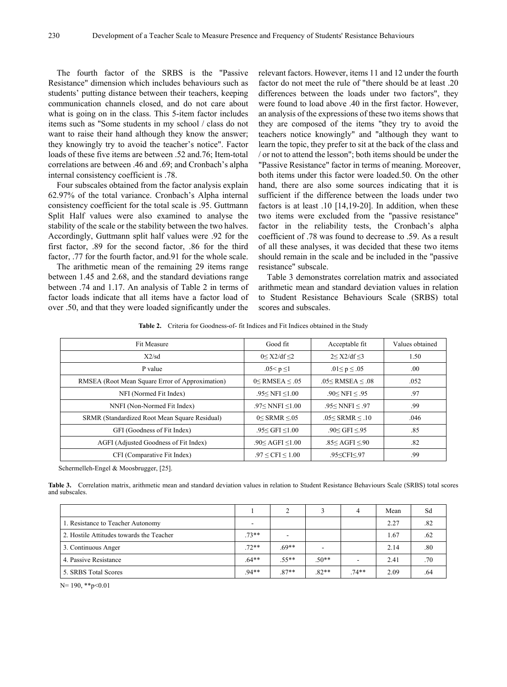The fourth factor of the SRBS is the "Passive Resistance" dimension which includes behaviours such as students' putting distance between their teachers, keeping communication channels closed, and do not care about what is going on in the class. This 5-item factor includes items such as "Some students in my school / class do not want to raise their hand although they know the answer; they knowingly try to avoid the teacher's notice". Factor loads of these five items are between .52 and.76; Item-total correlations are between .46 and .69; and Cronbach's alpha internal consistency coefficient is .78.

Four subscales obtained from the factor analysis explain 62.97% of the total variance. Cronbach's Alpha internal consistency coefficient for the total scale is .95. Guttmann Split Half values were also examined to analyse the stability of the scale or the stability between the two halves. Accordingly, Guttmann split half values were .92 for the first factor, .89 for the second factor, .86 for the third factor, .77 for the fourth factor, and.91 for the whole scale.

The arithmetic mean of the remaining 29 items range between 1.45 and 2.68, and the standard deviations range between .74 and 1.17. An analysis of Table 2 in terms of factor loads indicate that all items have a factor load of over .50, and that they were loaded significantly under the

relevant factors. However, items 11 and 12 under the fourth factor do not meet the rule of "there should be at least .20 differences between the loads under two factors", they were found to load above .40 in the first factor. However, an analysis of the expressions of these two items shows that they are composed of the items "they try to avoid the teachers notice knowingly" and "although they want to learn the topic, they prefer to sit at the back of the class and / or not to attend the lesson"; both items should be under the "Passive Resistance" factor in terms of meaning. Moreover, both items under this factor were loaded.50. On the other hand, there are also some sources indicating that it is sufficient if the difference between the loads under two factors is at least .10 [14,19-20]. In addition, when these two items were excluded from the "passive resistance" factor in the reliability tests, the Cronbach's alpha coefficient of .78 was found to decrease to .59. As a result of all these analyses, it was decided that these two items should remain in the scale and be included in the "passive resistance" subscale.

Table 3 demonstrates correlation matrix and associated arithmetic mean and standard deviation values in relation to Student Resistance Behaviours Scale (SRBS) total scores and subscales.

**Table 2.** Criteria for Goodness-of- fit Indices and Fit Indices obtained in the Study

| <b>Fit Measure</b>                              | Good fit                           | Acceptable fit                              | Values obtained |  |
|-------------------------------------------------|------------------------------------|---------------------------------------------|-----------------|--|
| X2/sd                                           | 0 < X2/df < 2                      | 2 < X2/df < 3                               | 1.50            |  |
| P value                                         | .05< $p \le 1$                     | .01 $\le$ p $\le$ .05                       | .00.            |  |
| RMSEA (Root Mean Square Error of Approximation) | $0<$ RMSEA $\leq$ .05              | $.05<$ RMSEA $\leq .08$                     | .052            |  |
| NFI (Normed Fit Index)                          | $.95 <$ NFI $~1.00$                | $.90<$ NFI $< .95$                          | .97             |  |
| NNFI (Non-Normed Fit Index)                     | .97 <nnfi <math="">\leq1.00</nnfi> | $.95<$ NNFI $< .97$                         | .99             |  |
| SRMR (Standardized Root Mean Square Residual)   | $0 <$ SRMR $\leq 0.05$             | $.05 <$ SRMR $< .10$                        | .046            |  |
| GFI (Goodness of Fit Index)                     | .95 < GFI < 1.00                   | .90 < GFI < 95                              | .85             |  |
| AGFI (Adjusted Goodness of Fit Index)           | $.90<$ AGFI $\leq$ 1.00            | .85 $\leq$ AGFI $\leq$ .90                  | .82             |  |
| CFI (Comparative Fit Index)                     | $.97 \leq$ CFI $\leq 1.00$         | .95 <cfi<.97< td=""><td>.99</td></cfi<.97<> | .99             |  |

Schermelleh-Engel & Moosbrugger, [25].

**Table 3.** Correlation matrix, arithmetic mean and standard deviation values in relation to Student Resistance Behaviours Scale (SRBS) total scores and subscales.

|                                          |         | $\gamma$ |                          | 4       | Mean | Sd  |
|------------------------------------------|---------|----------|--------------------------|---------|------|-----|
| 1. Resistance to Teacher Autonomy        | ۰       |          |                          |         | 2.27 | .82 |
| 2. Hostile Attitudes towards the Teacher | $.73**$ |          |                          |         | 1.67 | .62 |
| 3. Continuous Anger                      | $.72**$ | $.69**$  | $\overline{\phantom{a}}$ |         | 2.14 | .80 |
| 4. Passive Resistance                    | $.64**$ | $.55**$  | $.50**$                  | ۰       | 2.41 | .70 |
| 5. SRBS Total Scores                     | $.94**$ | $.87**$  | $.82**$                  | $.74**$ | 2.09 | .64 |

N= 190, \*\*p<0.01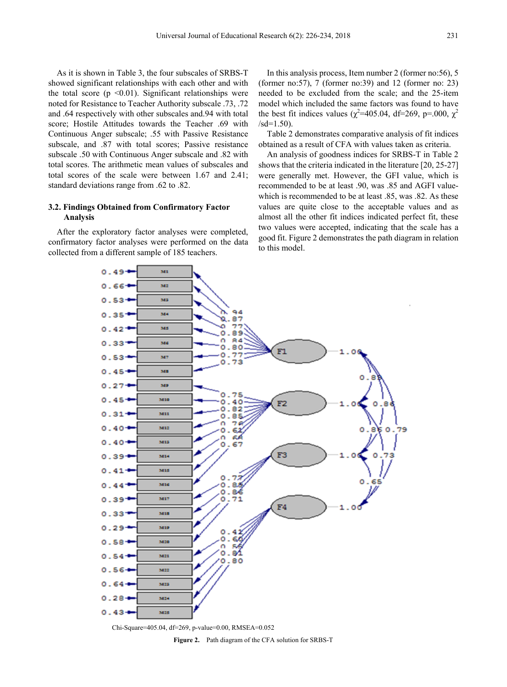As it is shown in Table 3, the four subscales of SRBS-T showed significant relationships with each other and with the total score ( $p \le 0.01$ ). Significant relationships were noted for Resistance to Teacher Authority subscale .73, .72 and .64 respectively with other subscales and.94 with total score; Hostile Attitudes towards the Teacher .69 with Continuous Anger subscale; .55 with Passive Resistance subscale, and .87 with total scores; Passive resistance subscale .50 with Continuous Anger subscale and .82 with total scores. The arithmetic mean values of subscales and total scores of the scale were between 1.67 and 2.41; standard deviations range from .62 to .82.

#### **3.2. Findings Obtained from Confirmatory Factor Analysis**

 $0.49 -$ 

 $0.53$ 

 $0.35<sup>+</sup>$ 

 $0.42<sup>+</sup>$ 

 $0.33$ 

After the exploratory factor analyses were completed, confirmatory factor analyses were performed on the data collected from a different sample of 185 teachers.

 $\mathbf{M}$ 

 $342$ MS

se.

 $M<sub>2</sub>$ 

 $346$ 

In this analysis process, Item number 2 (former no:56), 5 (former no:57), 7 (former no:39) and 12 (former no: 23) needed to be excluded from the scale; and the 25-item model which included the same factors was found to have the best fit indices values ( $\chi^2$ =405.04, df=269, p=.000,  $\chi^2$  $/sd=1.50$ ).

Table 2 demonstrates comparative analysis of fit indices obtained as a result of CFA with values taken as criteria.

An analysis of goodness indices for SRBS-T in Table 2 shows that the criteria indicated in the literature [20, 25-27] were generally met. However, the GFI value, which is recommended to be at least .90, was .85 and AGFI valuewhich is recommended to be at least .85, was .82. As these values are quite close to the acceptable values and as almost all the other fit indices indicated perfect fit, these two values were accepted, indicating that the scale has a good fit. Figure 2 demonstrates the path diagram in relation to this model.



94

 $0.87$ Δ フワ

Ō 89 n 84

٥  $.80$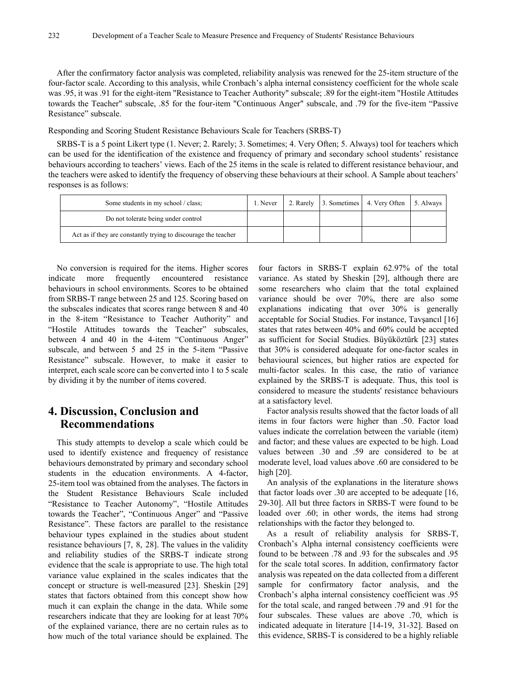After the confirmatory factor analysis was completed, reliability analysis was renewed for the 25-item structure of the four-factor scale. According to this analysis, while Cronbach's alpha internal consistency coefficient for the whole scale was .95, it was .91 for the eight-item "Resistance to Teacher Authority" subscale; .89 for the eight-item "Hostile Attitudes towards the Teacher" subscale, .85 for the four-item "Continuous Anger" subscale, and .79 for the five-item "Passive Resistance" subscale.

Responding and Scoring Student Resistance Behaviours Scale for Teachers (SRBS-T)

SRBS-T is a 5 point Likert type (1. Never; 2. Rarely; 3. Sometimes; 4. Very Often; 5. Always) tool for teachers which can be used for the identification of the existence and frequency of primary and secondary school students' resistance behaviours according to teachers' views. Each of the 25 items in the scale is related to different resistance behaviour, and the teachers were asked to identify the frequency of observing these behaviours at their school. A Sample about teachers' responses is as follows:

| Some students in my school / class:                            | 1. Never |  | 2. Rarely 3. Sometimes 4. Very Often 5. Always |  |
|----------------------------------------------------------------|----------|--|------------------------------------------------|--|
| Do not tolerate being under control                            |          |  |                                                |  |
| Act as if they are constantly trying to discourage the teacher |          |  |                                                |  |

No conversion is required for the items. Higher scores indicate more frequently encountered resistance behaviours in school environments. Scores to be obtained from SRBS-T range between 25 and 125. Scoring based on the subscales indicates that scores range between 8 and 40 in the 8-item "Resistance to Teacher Authority" and "Hostile Attitudes towards the Teacher" subscales, between 4 and 40 in the 4-item "Continuous Anger" subscale, and between 5 and 25 in the 5-item "Passive Resistance" subscale. However, to make it easier to interpret, each scale score can be converted into 1 to 5 scale by dividing it by the number of items covered.

# **4. Discussion, Conclusion and Recommendations**

This study attempts to develop a scale which could be used to identify existence and frequency of resistance behaviours demonstrated by primary and secondary school students in the education environments. A 4-factor, 25-item tool was obtained from the analyses. The factors in the Student Resistance Behaviours Scale included "Resistance to Teacher Autonomy", "Hostile Attitudes towards the Teacher", "Continuous Anger" and "Passive Resistance". These factors are parallel to the resistance behaviour types explained in the studies about student resistance behaviours [7, 8, 28]. The values in the validity and reliability studies of the SRBS-T indicate strong evidence that the scale is appropriate to use. The high total variance value explained in the scales indicates that the concept or structure is well-measured [23]. Sheskin [29] states that factors obtained from this concept show how much it can explain the change in the data. While some researchers indicate that they are looking for at least 70% of the explained variance, there are no certain rules as to how much of the total variance should be explained. The

four factors in SRBS-T explain 62.97% of the total variance. As stated by Sheskin [29], although there are some researchers who claim that the total explained variance should be over 70%, there are also some explanations indicating that over 30% is generally acceptable for Social Studies. For instance, Tavşancıl [16] states that rates between 40% and 60% could be accepted as sufficient for Social Studies. Büyüköztürk [23] states that 30% is considered adequate for one-factor scales in behavioural sciences, but higher ratios are expected for multi-factor scales. In this case, the ratio of variance explained by the SRBS-T is adequate. Thus, this tool is considered to measure the students' resistance behaviours at a satisfactory level.

Factor analysis results showed that the factor loads of all items in four factors were higher than .50. Factor load values indicate the correlation between the variable (item) and factor; and these values are expected to be high. Load values between .30 and .59 are considered to be at moderate level, load values above .60 are considered to be high [20].

An analysis of the explanations in the literature shows that factor loads over .30 are accepted to be adequate [16, 29-30]. All but three factors in SRBS-T were found to be loaded over .60; in other words, the items had strong relationships with the factor they belonged to.

As a result of reliability analysis for SRBS-T, Cronbach's Alpha internal consistency coefficients were found to be between .78 and .93 for the subscales and .95 for the scale total scores. In addition, confirmatory factor analysis was repeated on the data collected from a different sample for confirmatory factor analysis, and the Cronbach's alpha internal consistency coefficient was .95 for the total scale, and ranged between .79 and .91 for the four subscales. These values are above .70, which is indicated adequate in literature [14-19, 31-32]. Based on this evidence, SRBS-T is considered to be a highly reliable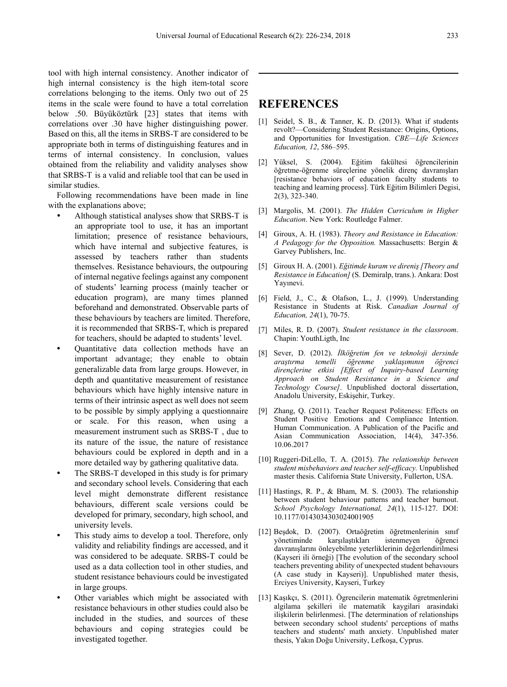tool with high internal consistency. Another indicator of high internal consistency is the high item-total score correlations belonging to the items. Only two out of 25 items in the scale were found to have a total correlation below .50. Büyüköztürk [23] states that items with correlations over .30 have higher distinguishing power. Based on this, all the items in SRBS-T are considered to be appropriate both in terms of distinguishing features and in terms of internal consistency. In conclusion, values obtained from the reliability and validity analyses show that SRBS-T is a valid and reliable tool that can be used in similar studies.

Following recommendations have been made in line with the explanations above;

- Although statistical analyses show that SRBS-T is an appropriate tool to use, it has an important limitation; presence of resistance behaviours, which have internal and subjective features, is assessed by teachers rather than students themselves. Resistance behaviours, the outpouring of internal negative feelings against any component of students' learning process (mainly teacher or education program), are many times planned beforehand and demonstrated. Observable parts of these behaviours by teachers are limited. Therefore, it is recommended that SRBS-T, which is prepared for teachers, should be adapted to students' level.
- Quantitative data collection methods have an important advantage; they enable to obtain generalizable data from large groups. However, in depth and quantitative measurement of resistance behaviours which have highly intensive nature in terms of their intrinsic aspect as well does not seem to be possible by simply applying a questionnaire or scale. For this reason, when using a measurement instrument such as SRBS-T , due to its nature of the issue, the nature of resistance behaviours could be explored in depth and in a more detailed way by gathering qualitative data.
- The SRBS-T developed in this study is for primary and secondary school levels. Considering that each level might demonstrate different resistance behaviours, different scale versions could be developed for primary, secondary, high school, and university levels.
- This study aims to develop a tool. Therefore, only validity and reliability findings are accessed, and it was considered to be adequate. SRBS-T could be used as a data collection tool in other studies, and student resistance behaviours could be investigated in large groups.
- Other variables which might be associated with resistance behaviours in other studies could also be included in the studies, and sources of these behaviours and coping strategies could be investigated together.

## **REFERENCES**

- [1] Seidel, S. B., & Tanner, K. D. (2013). What if students revolt?—Considering Student Resistance: Origins, Options, and Opportunities for Investigation. *CBE—Life Sciences Education, 12*, 586–595.
- [2] Yüksel, S. (2004). Eğitim fakültesi öğrencilerinin öğretme-öğrenme süreçlerine yönelik direnç davranışları [resistance behaviors of education faculty students to teaching and learning process]. Türk Eğitim Bilimleri Degisi, 2(3), 323-340.
- [3] Margolis, M. (2001). *The Hidden Curriculum in Higher Education*. New York: Routledge Falmer.
- [4] Giroux, A. H. (1983). *Theory and Resistance in Education: A Pedagogy for the Opposition.* Massachusetts: Bergin & Garvey Publishers, Inc.
- [5] Giroux H. A. (2001). *Eğitimde kuram ve direniş [Theory and Resistance in Education]* (S. Demiralp, trans.). Ankara: Dost Yayınevi.
- [6] Field, J., C., & Olafson, L., J. (1999). Understanding Resistance in Students at Risk. *Canadian Journal of Education, 24*(1), 70-75.
- [7] Miles, R. D. (2007). *Student resistance in the classroom*. Chapin: YouthLigth, Inc
- [8] Sever, D. (2012). *İlköğretim fen ve teknoloji dersinde araştırma temelli öğrenme yaklaşımının öğrenci dirençlerine etkisi [Effect of Inquiry-based Learning Approach on Student Resistance in a Science and Technology Course]*. Unpublished doctoral dissertation, Anadolu University, Eskişehir, Turkey.
- [9] Zhang, Q. (2011). Teacher Request Politeness: Effects on Student Positive Emotions and Compliance Intention. Human Communication. A Publication of the Pacific and Asian Communication Association, 14(4), 347-356. 10.06.2017
- [10] Ruggeri-DiLello, T. A. (2015). *The relationship between student misbehaviors and teacher self-efficacy.* Unpublished master thesis. California State University, Fullerton, USA.
- [11] Hastings, R. P., & Bham, M. S. (2003). The relationship between student behaviour patterns and teacher burnout. *School Psychology International, 24*(1), 115-127. DOI: 10.1177/0143034303024001905
- [12] Beşdok, D. (2007). Ortaöğretim öğretmenlerinin sınıf yönetiminde karşılaştıkları istenmeyen öğrenci davranışlarını önleyebilme yeterliklerinin değerlendirilmesi (Kayseri ili örneği) [The evolution of the secondary school teachers preventing ability of unexpected student behavıours (A case study in Kayseri)]. Unpublished mater thesis, Erciyes University, Kayseri, Turkey
- [13] Kaşıkçı, S. (2011). Ögrencilerin matematik ögretmenlerini algilama şekilleri ile matematik kaygilari arasindaki ilişkilerin belirlenmesi. [The determination of relationships between secondary school students' perceptions of maths teachers and students' math anxiety. Unpublished mater thesis, Yakın Doğu University, Lefkoşa, Cyprus.